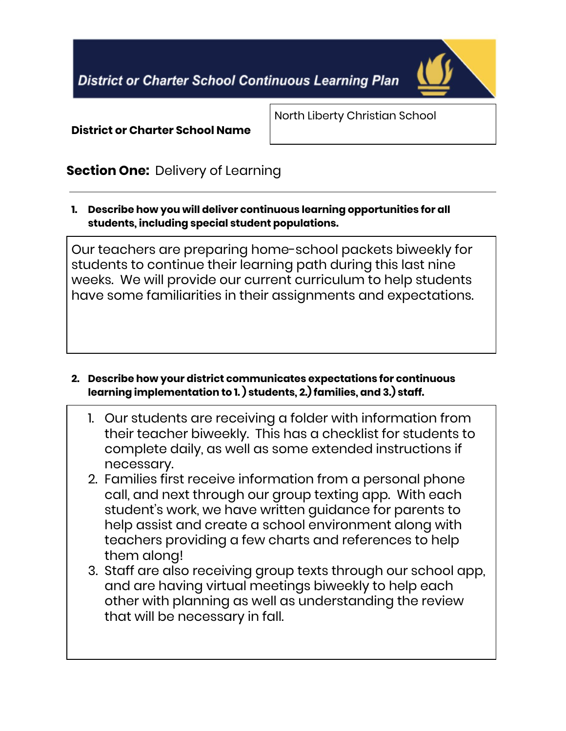**District or Charter School Continuous Learning Plan** 



District or Charter School Name

North Liberty Christian School

## **Section One: Delivery of Learning**

1. Describe how you will deliver continuous learning opportunities for all students, including special student populations.

Our teachers are preparing home-school packets biweekly for students to continue their learning path during this last nine weeks. We will provide our current curriculum to help students have some familiarities in their assignments and expectations.

## 2. Describe how your district communicates expectations for continuous learning implementation to 1. ) students, 2.) families, and 3.) staff.

- 1. Our students are receiving a folder with information from their teacher biweekly. This has a checklist for students to complete daily, as well as some extended instructions if necessary.
- 2. Families first receive information from a personal phone call, and next through our group texting app. With each student's work, we have written guidance for parents to help assist and create a school environment along with teachers providing a few charts and references to help them along!
- 3. Staff are also receiving group texts through our school app, and are having virtual meetings biweekly to help each other with planning as well as understanding the review that will be necessary in fall.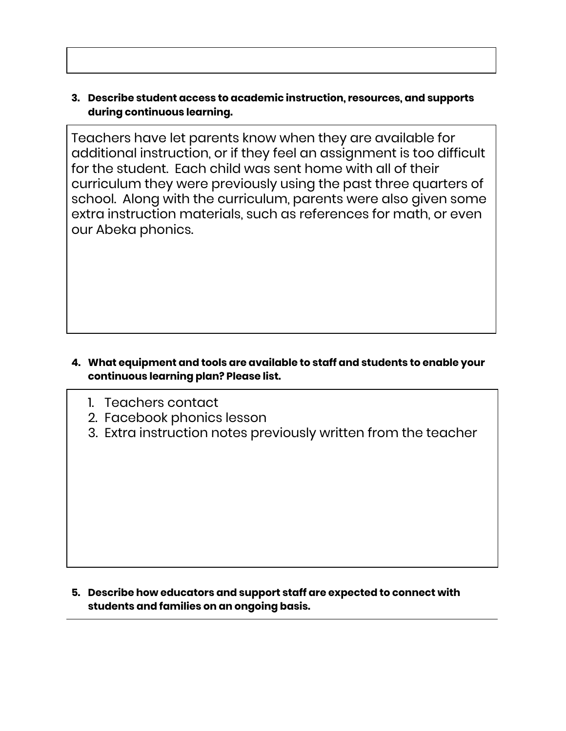## 3. Describe student access to academic instruction, resources, and supports during continuous learning.

Teachers have let parents know when they are available for additional instruction, or if they feel an assignment is too difficult for the student. Each child was sent home with all of their curriculum they were previously using the past three quarters of school. Along with the curriculum, parents were also given some extra instruction materials, such as references for math, or even our Abeka phonics.

## 4. What equipment and tools are available to staff and students to enable your continuous learning plan? Please list.

- 1. Teachers contact
- 2. Facebook phonics lesson
- 3. Extra instruction notes previously written from the teacher

#### 5. Describe how educators and support staff are expected to connect with students and families on an ongoing basis.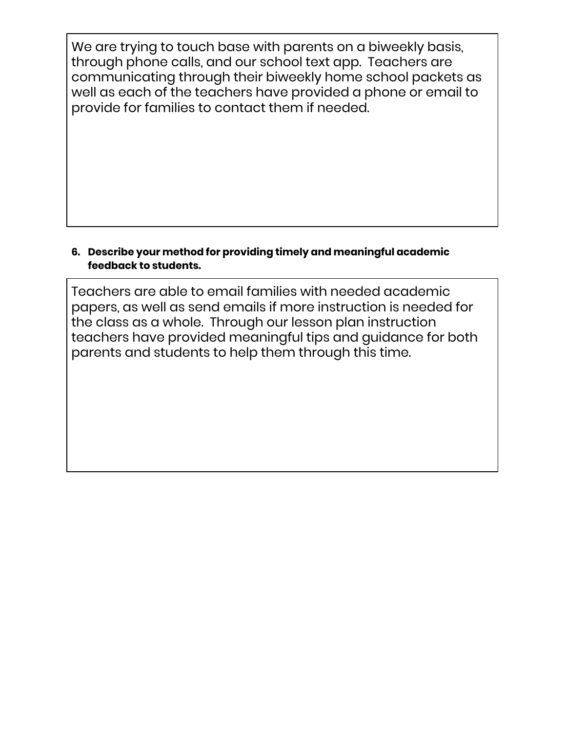We are trying to touch base with parents on a biweekly basis, through phone calls, and our school text app. Teachers are communicating through their biweekly home school packets as well as each of the teachers have provided a phone or email to provide for families to contact them if needed.

## 6. Describe your method for providing timely and meaningful academic feedback to students.

Teachers are able to email families with needed academic papers, as well as send emails if more instruction is needed for the class as a whole. Through our lesson plan instruction teachers have provided meaningful tips and guidance for both parents and students to help them through this time.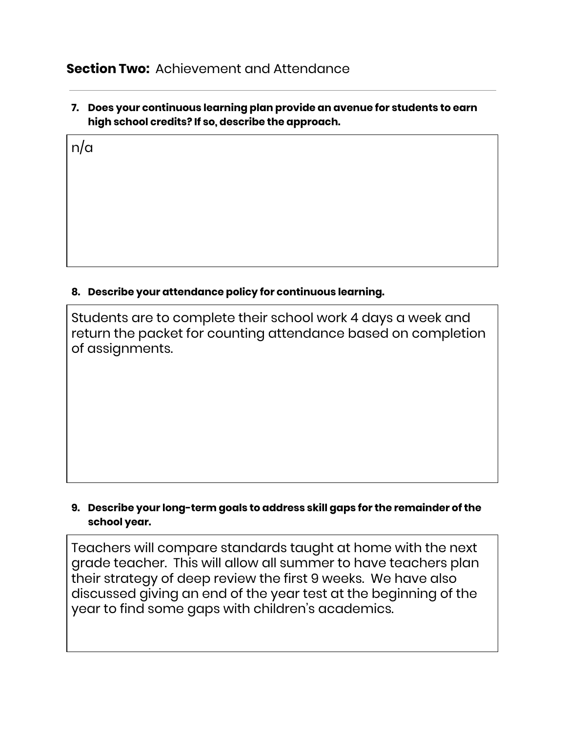## **Section Two:** Achievement and Attendance

n/a

7. Does your continuous learning plan provide an avenue for students to earn high school credits? If so, describe the approach.

# 8. Describe your attendance policy for continuous learning.

Students are to complete their school work 4 days a week and return the packet for counting attendance based on completion of assignments.

#### 9. Describe your long-term goals to address skill gaps for the remainder of the school year.

Teachers will compare standards taught at home with the next grade teacher. This will allow all summer to have teachers plan their strategy of deep review the first 9 weeks. We have also discussed giving an end of the year test at the beginning of the year to find some gaps with children's academics.